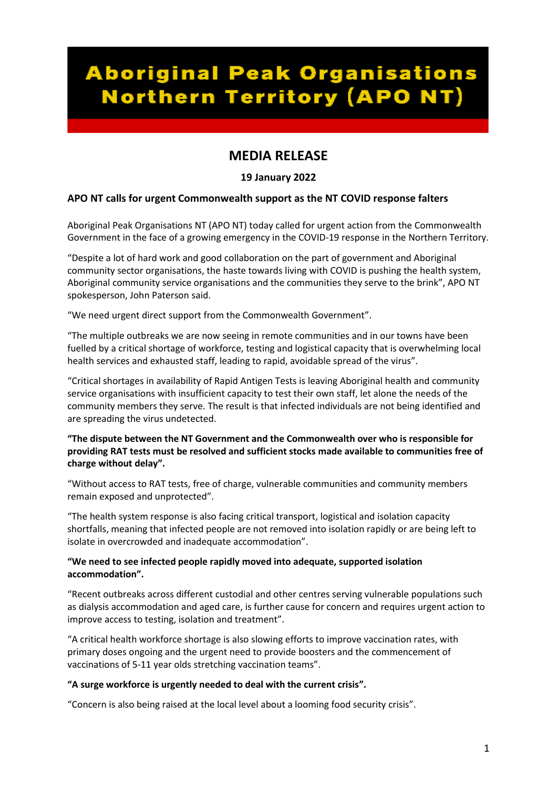# **Aboriginal Peak Organisations Northern Territory (APO NT)**

# **MEDIA RELEASE**

## **19 January 2022**

## **APO NT calls for urgent Commonwealth support as the NT COVID response falters**

Aboriginal Peak Organisations NT (APO NT) today called for urgent action from the Commonwealth Government in the face of a growing emergency in the COVID-19 response in the Northern Territory.

"Despite a lot of hard work and good collaboration on the part of government and Aboriginal community sector organisations, the haste towards living with COVID is pushing the health system, Aboriginal community service organisations and the communities they serve to the brink", APO NT spokesperson, John Paterson said.

"We need urgent direct support from the Commonwealth Government".

"The multiple outbreaks we are now seeing in remote communities and in our towns have been fuelled by a critical shortage of workforce, testing and logistical capacity that is overwhelming local health services and exhausted staff, leading to rapid, avoidable spread of the virus".

"Critical shortages in availability of Rapid Antigen Tests is leaving Aboriginal health and community service organisations with insufficient capacity to test their own staff, let alone the needs of the community members they serve. The result is that infected individuals are not being identified and are spreading the virus undetected.

#### **"The dispute between the NT Government and the Commonwealth over who is responsible for providing RAT tests must be resolved and sufficient stocks made available to communities free of charge without delay".**

"Without access to RAT tests, free of charge, vulnerable communities and community members remain exposed and unprotected".

"The health system response is also facing critical transport, logistical and isolation capacity shortfalls, meaning that infected people are not removed into isolation rapidly or are being left to isolate in overcrowded and inadequate accommodation".

#### **"We need to see infected people rapidly moved into adequate, supported isolation accommodation".**

"Recent outbreaks across different custodial and other centres serving vulnerable populations such as dialysis accommodation and aged care, is further cause for concern and requires urgent action to improve access to testing, isolation and treatment".

"A critical health workforce shortage is also slowing efforts to improve vaccination rates, with primary doses ongoing and the urgent need to provide boosters and the commencement of vaccinations of 5-11 year olds stretching vaccination teams".

#### **"A surge workforce is urgently needed to deal with the current crisis".**

"Concern is also being raised at the local level about a looming food security crisis".